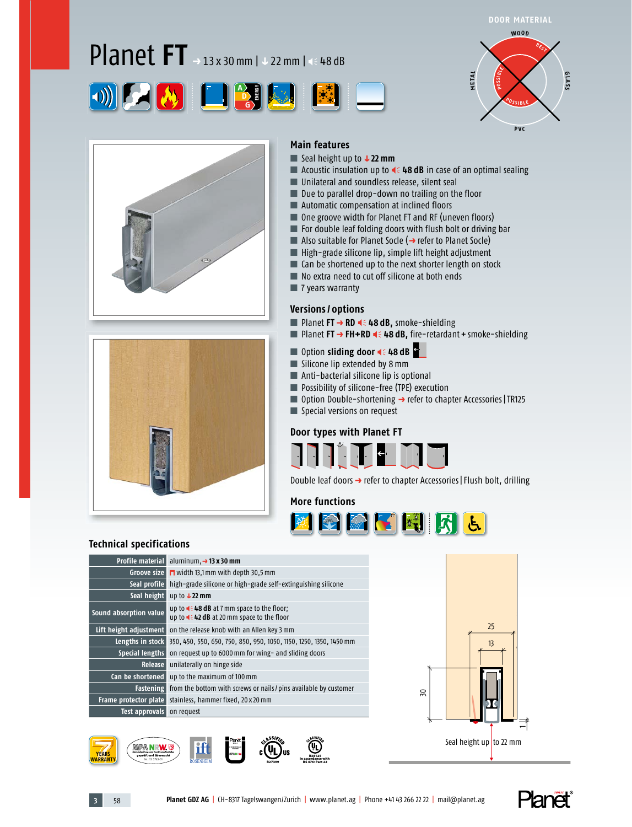# Planet **FT** *<sup>p</sup>* 13 x 30 mm | *q* 22 mm | 48 dB







#### **Main features** ■ Seal height up to **↓22 mm**

- Acoustic insulation up to **4 48 dB** in case of an optimal sealing
- Unilateral and soundless release, silent seal
- Due to parallel drop-down no trailing on the floor
- Automatic compensation at inclined floors
- One groove width for Planet FT and RF (uneven floors)
- For double leaf folding doors with flush bolt or driving bar
- Also suitable for Planet Socle (→ refer to Planet Socle)
- High-grade silicone lip, simple lift height adjustment
- Can be shortened up to the next shorter length on stock
- No extra need to cut off silicone at both ends
- 7 years warranty

#### **Versions / options**

- Planet **FT → RD 4** € 48 dB, smoke-shielding
- Planet **FT** → FH+RD < 48 dB, fire-retardant + smoke-shielding
- Option **sliding door 4**€ 48 dB
- Silicone lip extended by 8 mm
- Anti-bacterial silicone lip is optional
- Possibility of silicone-free (TPE) execution
- Option Double-shortening → refer to chapter Accessories | TR125
- Special versions on request



Double leaf doors → refer to chapter Accessories | Flush bolt, drilling

#### **More functions**



#### **Technical specifications**

| <b>Profile material</b> | aluminum, $\rightarrow$ 13 x 30 mm                                                                          |
|-------------------------|-------------------------------------------------------------------------------------------------------------|
| Groove size             | $\blacksquare$ width 13,1 mm with depth 30,5 mm                                                             |
| Seal profile            | high-grade silicone or high-grade self-extinguishing silicone                                               |
| Seal height             | up to $\sqrt{22}$ mm                                                                                        |
| Sound absorption value  | up to $\triangleleft$ = 48 dB at 7 mm space to the floor;<br>up to $\leq 42$ dB at 20 mm space to the floor |
| Lift height adjustment  | on the release knob with an Allen key 3 mm                                                                  |
| Lengths in stock        | 350, 450, 550, 650, 750, 850, 950, 1050, 1150, 1250, 1350, 1450 mm                                          |
| Special lengths         | on request up to 6000 mm for wing- and sliding doors                                                        |
| <b>Release</b>          | unilaterally on hinge side                                                                                  |
| Can be shortened        | up to the maximum of 100 mm                                                                                 |
| <b>Fastening</b>        | from the bottom with screws or nails / pins available by customer                                           |
| Frame protector plate   | stainless, hammer fixed, 20 x 20 mm                                                                         |
| Test approvals          | on request                                                                                                  |